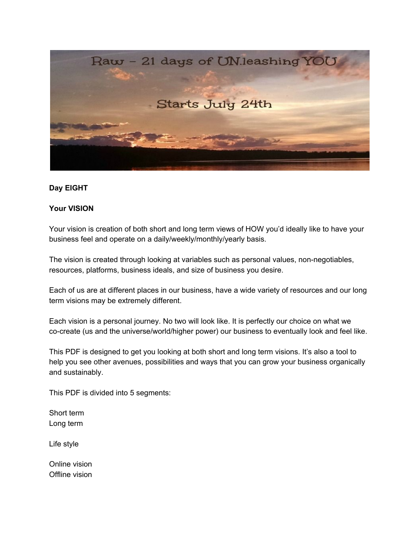

#### **Day EIGHT**

#### **Your VISION**

Your vision is creation of both short and long term views of HOW you'd ideally like to have your business feel and operate on a daily/weekly/monthly/yearly basis.

The vision is created through looking at variables such as personal values, non-negotiables, resources, platforms, business ideals, and size of business you desire.

Each of us are at different places in our business, have a wide variety of resources and our long term visions may be extremely different.

Each vision is a personal journey. No two will look like. It is perfectly our choice on what we co-create (us and the universe/world/higher power) our business to eventually look and feel like.

This PDF is designed to get you looking at both short and long term visions. It's also a tool to help you see other avenues, possibilities and ways that you can grow your business organically and sustainably.

This PDF is divided into 5 segments:

Short term Long term

Life style

Online vision Offline vision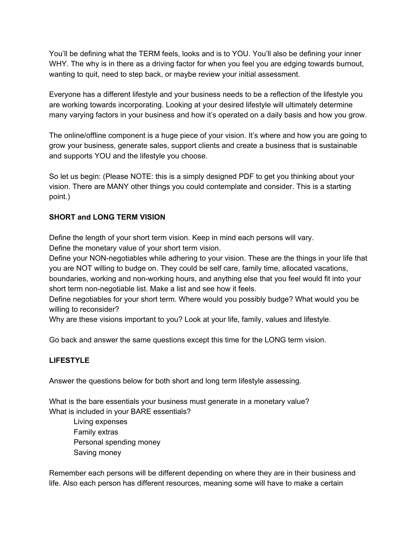You'll be defining what the TERM feels, looks and is to YOU. You'll also be defining your inner WHY. The why is in there as a driving factor for when you feel you are edging towards burnout, wanting to quit, need to step back, or maybe review your initial assessment.

Everyone has a different lifestyle and your business needs to be a reflection of the lifestyle you are working towards incorporating. Looking at your desired lifestyle will ultimately determine many varying factors in your business and how it's operated on a daily basis and how you grow.

The online/offline component is a huge piece of your vision. It's where and how you are going to grow your business, generate sales, support clients and create a business that is sustainable and supports YOU and the lifestyle you choose.

So let us begin: (Please NOTE: this is a simply designed PDF to get you thinking about your vision. There are MANY other things you could contemplate and consider. This is a starting point.)

# **SHORT and LONG TERM VISION**

Define the length of your short term vision. Keep in mind each persons will vary. Define the monetary value of your short term vision.

Define your NON-negotiables while adhering to your vision. These are the things in your life that you are NOT willing to budge on. They could be self care, family time, allocated vacations, boundaries, working and non-working hours, and anything else that you feel would fit into your short term non-negotiable list. Make a list and see how it feels.

Define negotiables for your short term. Where would you possibly budge? What would you be willing to reconsider?

Why are these visions important to you? Look at your life, family, values and lifestyle.

Go back and answer the same questions except this time for the LONG term vision.

## **LIFESTYLE**

Answer the questions below for both short and long term lifestyle assessing.

What is the bare essentials your business must generate in a monetary value? What is included in your BARE essentials?

Living expenses Family extras Personal spending money Saving money

Remember each persons will be different depending on where they are in their business and life. Also each person has different resources, meaning some will have to make a certain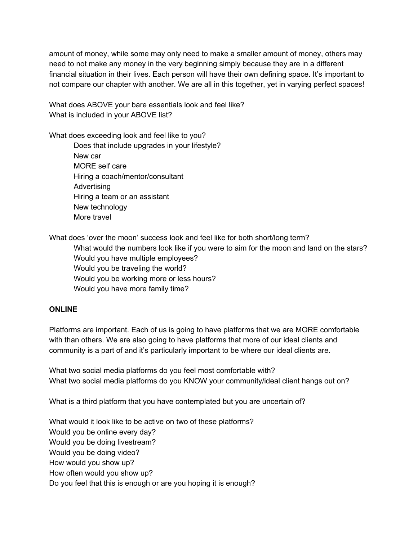amount of money, while some may only need to make a smaller amount of money, others may need to not make any money in the very beginning simply because they are in a different financial situation in their lives. Each person will have their own defining space. It's important to not compare our chapter with another. We are all in this together, yet in varying perfect spaces!

What does ABOVE your bare essentials look and feel like? What is included in your ABOVE list?

What does exceeding look and feel like to you?

Does that include upgrades in your lifestyle? New car MORE self care Hiring a coach/mentor/consultant Advertising Hiring a team or an assistant New technology More travel

What does 'over the moon' success look and feel like for both short/long term?

What would the numbers look like if you were to aim for the moon and land on the stars? Would you have multiple employees? Would you be traveling the world? Would you be working more or less hours? Would you have more family time?

### **ONLINE**

Platforms are important. Each of us is going to have platforms that we are MORE comfortable with than others. We are also going to have platforms that more of our ideal clients and community is a part of and it's particularly important to be where our ideal clients are.

What two social media platforms do you feel most comfortable with? What two social media platforms do you KNOW your community/ideal client hangs out on?

What is a third platform that you have contemplated but you are uncertain of?

What would it look like to be active on two of these platforms? Would you be online every day? Would you be doing livestream? Would you be doing video? How would you show up? How often would you show up? Do you feel that this is enough or are you hoping it is enough?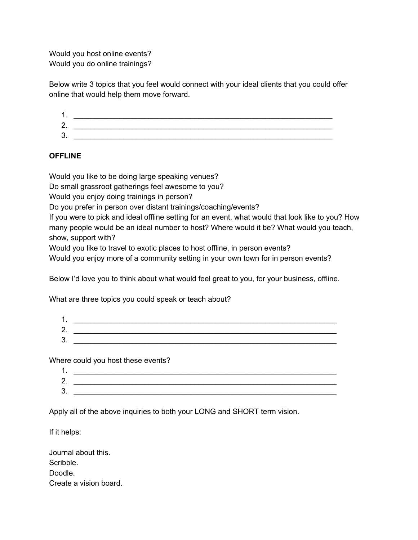Would you host online events? Would you do online trainings?

Below write 3 topics that you feel would connect with your ideal clients that you could offer online that would help them move forward.

| ◠<br><u>.</u> |  |
|---------------|--|
| ◠             |  |

# **OFFLINE**

Would you like to be doing large speaking venues?

Do small grassroot gatherings feel awesome to you?

Would you enjoy doing trainings in person?

Do you prefer in person over distant trainings/coaching/events?

If you were to pick and ideal offline setting for an event, what would that look like to you? How many people would be an ideal number to host? Where would it be? What would you teach, show, support with?

Would you like to travel to exotic places to host offline, in person events?

Would you enjoy more of a community setting in your own town for in person events?

Below I'd love you to think about what would feel great to you, for your business, offline.

What are three topics you could speak or teach about?

| ⌒<br><u>.</u> |  |
|---------------|--|
| 2<br>ັ        |  |

Where could you host these events?

| 2. |  |
|----|--|
| 3  |  |

Apply all of the above inquiries to both your LONG and SHORT term vision.

If it helps:

| Journal about this.    |
|------------------------|
| Scribble.              |
| Doodle.                |
| Create a vision board. |